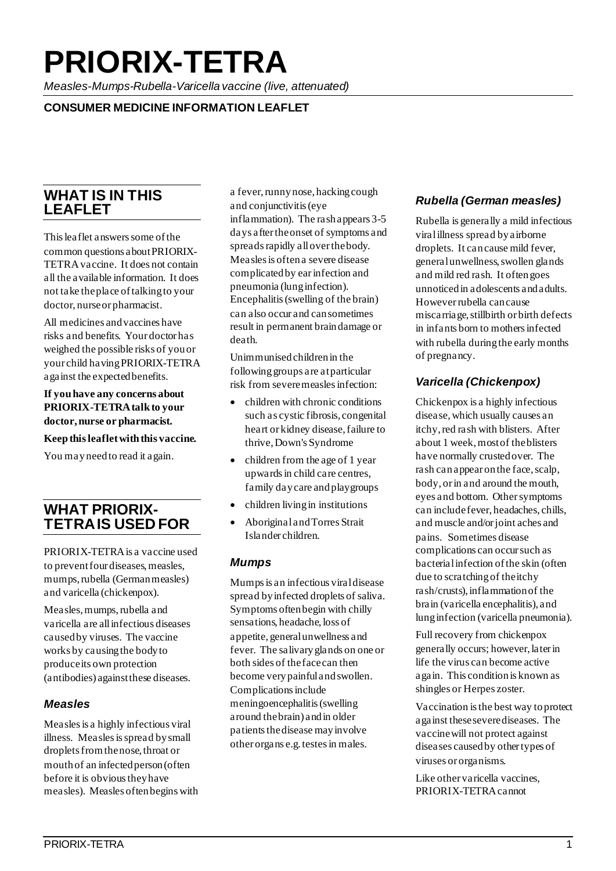# **PRIORIX-TETRA**

*Measles-Mumps-Rubella-Varicella vaccine (live, attenuated)*

#### **CONSUMER MEDICINE INFORMATION LEAFLET**

## **WHAT IS IN THIS LEAFLET**

This leaflet answers some of the common questions about PRIORIX-TETRAvaccine. It does not contain all the available information. It does not take the place of talking to your doctor, nurse or pharmacist.

All medicines and vaccines have risks and benefits. Your doctor has weighed the possible risks of you or your child having PRIORIX-TETRA against the expected benefits.

**If you have any concerns about PRIORIX-TETRA talk to your doctor, nurse or pharmacist.**

**Keep this leaflet with this vaccine.** 

You may need to read it again.

## **WHAT PRIORIX- TETRAIS USED FOR**

PRIORIX-TETRAis a vaccine used to prevent four diseases, measles, mumps, rubella (German measles) and varicella (chickenpox).

Measles, mumps, rubella and varicella are all infectious diseases caused by viruses. The vaccine works by causing the body to produce its own protection (antibodies) against these diseases.

#### *Measles*

Measles is a highly infectious viral illness. Measles is spread by small droplets from the nose, throat or mouth of an infected person (often before it is obvious they have measles). Measles often begins with a fever, runny nose, hacking cough and conjunctivitis (eye inflammation). The rash appears 3-5 days after the onset of symptoms and spreads rapidly all over the body. Measles is often a severe disease complicated by ear infection and pneumonia (lung infection). Encephalitis (swelling of the brain) can also occur and can sometimes result in permanent brain damage or death.

Unimmunised children in the following groups are at particular risk from severe measles infection:

- children with chronic conditions such as cystic fibrosis, congenital heart or kidney disease, failure to thrive, Down's Syndrome
- children from the age of 1 year upwards in child care centres, family day care and playgroups
- children living in institutions
- Aboriginal and Torres Strait Islander children.

#### *Mumps*

Mumps is an infectious viral disease spread by infected droplets of saliva. Symptoms often begin with chilly sensations, headache, loss of appetite, general unwellness and fever. The salivary glands on one or both sides of the face can then become very painful and swollen. Complications include meningoencephalitis (swelling around the brain) and in older patients the disease may involve other organs e.g. testes in males.

#### *Rubella (German measles)*

Rubella is generally a mild infectious viral illness spread by airborne droplets. It can cause mild fever, general unwellness, swollen glands and mild red rash. It often goes unnoticed in adolescents and adults. However rubella can cause miscarriage, stillbirth or birth defects in infants born to mothers infected with rubella during the early months of pregnancy.

#### *Varicella (Chickenpox)*

Chickenpox is a highly infectious disease, which usually causes an itchy, red rash with blisters. After about 1 week, most of the blisters have normally crusted over. The rash can appear on the face, scalp, body, or in and around the mouth, eyes and bottom. Other symptoms can include fever, headaches, chills, and muscle and/or joint aches and pains. Sometimes disease complications can occur such as bacterial infection of the skin (often due to scratching of the itchy rash/crusts), inflammation of the brain (varicella encephalitis), and lung infection (varicella pneumonia).

Full recovery from chickenpox generally occurs; however, later in life the virus can become active again. This condition is known as shingles or Herpes zoster.

Vaccination is the best way to protect against these severe diseases. The vaccine will not protect against diseases caused by other types of viruses or organisms.

Like other varicella vaccines, PRIORIX-TETRAcannot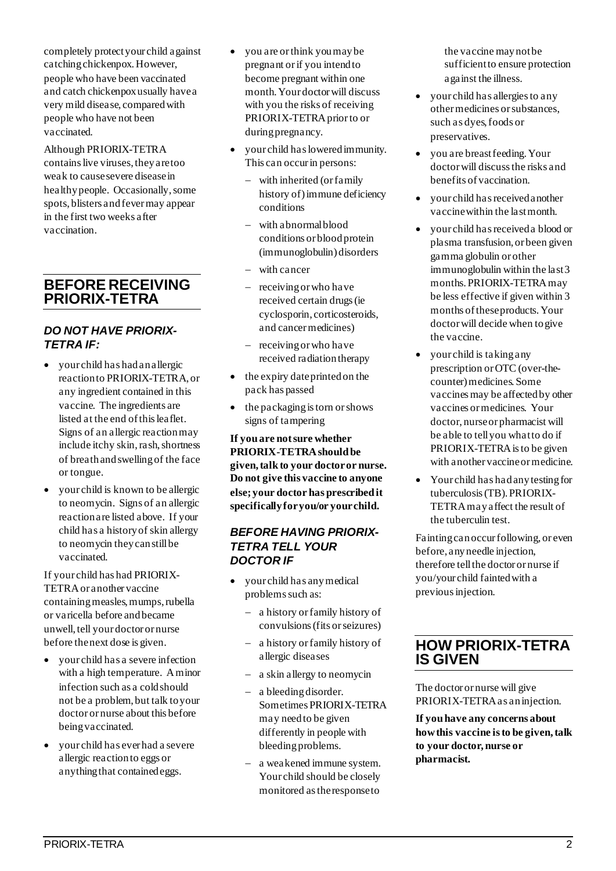completely protect your child against catching chickenpox. However, people who have been vaccinated and catch chickenpox usually have a very mild disease, compared with people who have not been vaccinated.

Although PRIORIX-TETRA contains live viruses, they are too weak to cause severe disease in healthy people. Occasionally, some spots, blisters and fever may appear in the first two weeks after vaccination.

## **BEFORE RECEIVING PRIORIX-TETRA**

#### *DO NOT HAVE PRIORIX-TETRA IF:*

- your child has had an allergic reaction to PRIORIX-TETRA, or any ingredient contained in this vaccine. The ingredients are listed at the end of this leaflet. Signs of an allergic reaction may include itchy skin, rash, shortness of breath and swelling of the face or tongue.
- your child is known to be allergic to neomycin. Signs of an allergic reaction are listed above. If your child has a history of skin allergy to neomycin they can still be vaccinated.

If your child has had PRIORIX-TETRAor another vaccine containing measles, mumps, rubella or varicella before and became unwell, tell your doctor or nurse before the next dose is given.

- your child has a severe infection with a high temperature. A minor infection such as a cold should not be a problem, but talk to your doctor or nurse about this before being vaccinated.
- your child has ever had a severe allergic reaction to eggs or anything that contained eggs.
- you are or think you may be pregnant or if you intend to become pregnant within one month. Your doctor will discuss with you the risks of receiving PRIORIX-TETRA prior to or during pregnancy.
- your child has lowered immunity. This can occur in persons:
	- − with inherited (or family history of) immune deficiency conditions
	- − with abnormal blood conditions or blood protein (immunoglobulin) disorders
	- − with cancer
	- − receiving or who have received certain drugs (ie cyclosporin, corticosteroids, and cancer medicines)
	- − receiving or who have received radiation therapy
- the expiry date printed on the pack has passed
- the packaging is torn or shows signs of tampering

**If you are not sure whether PRIORIX-TETRAshould be given, talk to your doctor or nurse. Do not give this vaccine to anyone else; your doctor has prescribed it specifically for you/or your child.**

#### *BEFORE HAVING PRIORIX-TETRA TELL YOUR DOCTOR IF*

- your child has any medical problems such as:
	- − a history or family history of convulsions (fits or seizures)
	- − a history or family history of allergic diseases
	- − a skin allergy to neomycin
	- − a bleeding disorder. Sometimes PRIORIX-TETRA may need to be given differently in people with bleeding problems.
	- − a weakened immune system. Your child should be closely monitored as the response to

the vaccine may not be sufficient to ensure protection against the illness.

- your child has allergies to any other medicines or substances, such as dyes, foods or preservatives.
- you are breast feeding. Your doctor will discuss the risks and benefits of vaccination.
- your child has received another vaccine within the last month.
- your child has received a blood or plasma transfusion, or been given gamma globulin or other immunoglobulin within the last 3 months. PRIORIX-TETRA may be less effective if given within 3 months of these products. Your doctor will decide when to give the vaccine.
- your child is taking any prescription or OTC (over-thecounter) medicines. Some vaccines may be affected by other vaccines or medicines. Your doctor, nurse or pharmacist will be able to tell you what to do if PRIORIX-TETRA is to be given with another vaccine or medicine.
- Your child has had any testing for tuberculosis (TB). PRIORIX-TETRA may affect the result of the tuberculin test.

Fainting can occur following, or even before, any needle injection, therefore tell the doctor or nurse if you/your child fainted with a previous injection.

## **HOW PRIORIX-TETRA IS GIVEN**

The doctor or nurse will give PRIORIX-TETRAas an injection.

**If you have any concerns about how this vaccine is to be given, talk to your doctor, nurse or pharmacist.**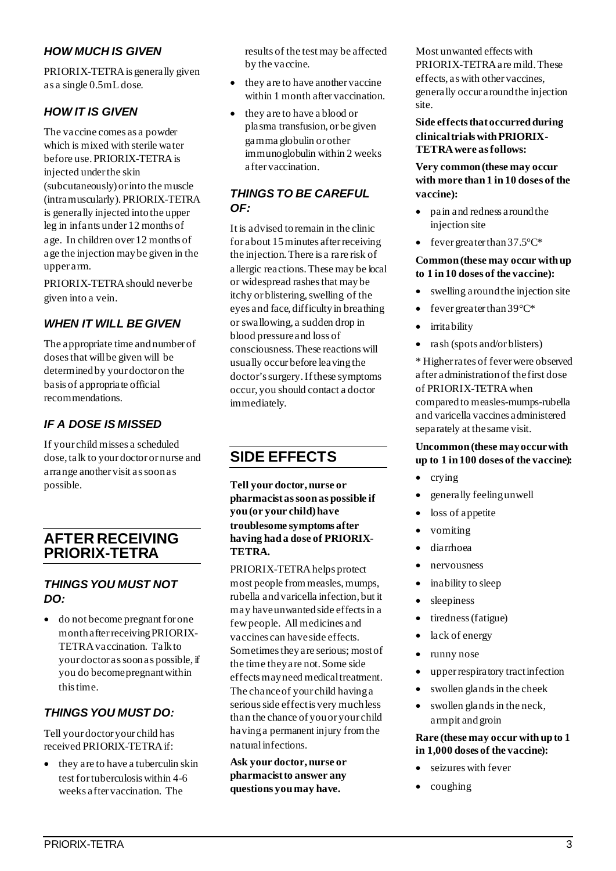#### *HOW MUCH IS GIVEN*

PRIORIX-TETRAis generally given as a single 0.5mL dose.

#### *HOW IT IS GIVEN*

The vaccine comes as a powder which is mixed with sterile water before use. PRIORIX-TETRAis injected under the skin (subcutaneously) or into the muscle (intramuscularly). PRIORIX-TETRA is generally injected into the upper leg in infants under 12 months of age. In children over 12 months of age the injection may be given in the upper arm.

PRIORIX-TETRA should never be given into a vein.

#### *WHEN IT WILL BE GIVEN*

The appropriate time and number of doses that will be given will be determined by your doctor on the basis of appropriate official recommendations.

## *IF A DOSE IS MISSED*

If your child misses a scheduled dose, talk to your doctor or nurse and arrange another visit as soon as possible.

## **AFTER RECEIVING PRIORIX-TETRA**

#### *THINGS YOU MUST NOT DO:*

• do not become pregnant for one month after receiving PRIORIX-TETRA vaccination. Talk to your doctor as soon as possible, if you do become pregnantwithin this time.

#### *THINGS YOU MUST DO:*

Tell your doctor your child has received PRIORIX-TETRAif:

they are to have a tuberculin skin test for tuberculosis within 4-6 weeks after vaccination. The

results of the test may be affected by the vaccine.

- they are to have another vaccine within 1 month after vaccination.
- they are to have a blood or plasma transfusion, or be given gamma globulin or other immunoglobulin within 2 weeks after vaccination.

#### *THINGS TO BE CAREFUL OF:*

It is advised to remain in the clinic for about 15 minutes after receiving the injection.There is a rare risk of allergic reactions. These may be local or widespread rashes that may be itchy or blistering, swelling of the eyes and face, difficulty in breathing or swallowing, a sudden drop in blood pressure and loss of consciousness. These reactions will usually occur before leaving the doctor's surgery.If these symptoms occur, you should contact a doctor immediately.

## **SIDE EFFECTS**

**Tell your doctor, nurse or pharmacist as soon as possible if you (or your child) have troublesome symptoms after having had a dose of PRIORIX-TETRA.** 

PRIORIX-TETRAhelps protect most people from measles, mumps, rubella and varicella infection, but it may have unwanted side effects in a few people. All medicines and vaccines can have side effects. Sometimes they are serious; most of the time they are not. Some side effects may need medical treatment. The chance of your child having a serious side effect is very much less than the chance of you or your child having a permanent injury from the natural infections.

**Ask your doctor, nurse or pharmacist to answer any questions you may have.**

Most unwanted effects with PRIORIX-TETRAare mild. These effects, as with other vaccines, generally occur around the injection site.

#### **Side effects that occurred during clinical trials with PRIORIX-TETRAwere as follows:**

**Very common (these may occur with more than 1 in 10 doses of the vaccine):** 

- pain and redness around the injection site
- fever greater than  $37.5^{\circ}C^*$

#### **Common (these may occur with up to 1 in 10 doses of the vaccine):**

- swelling around the injection site
- fever greater than  $39^{\circ}C^*$
- irritability
- rash (spots and/or blisters)

\* Higher rates of fever were observed after administration of the first dose of PRIORIX-TETRAwhen compared to measles-mumps-rubella and varicella vaccines administered separately at the same visit.

#### **Uncommon (these may occur with up to 1 in 100 doses of the vaccine):**

- crying
- generally feeling unwell
- loss of appetite
- vomiting
- diarrhoea
- nervousness
- inability to sleep
- sleepiness
- tiredness (fatigue)
- lack of energy
- runny nose
- upper respiratory tract infection
- swollen glands in the cheek
- swollen glands in the neck, armpit and groin

#### **Rare (these may occur with up to 1 in 1,000 doses of the vaccine):**

- seizures with fever
- coughing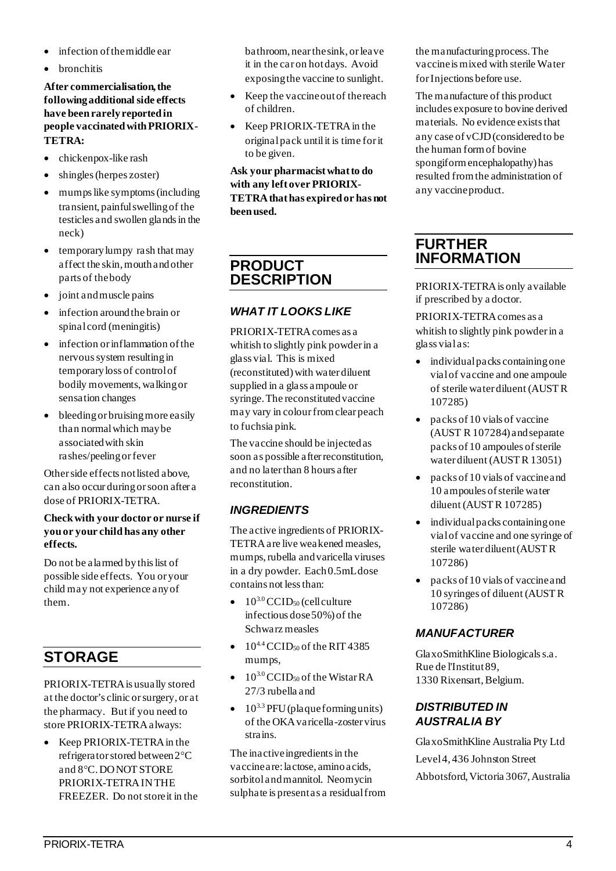- infection of the middle ear
- **hronchitis**

#### **After commercialisation, the following additional side effects have been rarely reported in people vaccinated with PRIORIX-TETRA:**

- chickenpox-like rash
- shingles (herpes zoster)
- mumps like symptoms (including transient, painful swelling of the testicles and swollen glands in the neck)
- temporary lumpy rash that may affect the skin, mouth and other parts of the body
- joint and muscle pains
- infection around the brain or spinal cord (meningitis)
- infection or inflammation of the nervous system resulting in temporary loss of control of bodily movements, walking or sensation changes
- bleeding or bruising more easily than normal which may be associated with skin rashes/peeling or fever

Other side effects not listed above, can also occur during or soon after a dose of PRIORIX-TETRA.

#### **Check with your doctor or nurse if you or your child has any other effects.**

Do not be alarmed by this list of possible side effects. You or your child may not experience any of them.

## **STORAGE**

PRIORIX-TETRAis usually stored at the doctor's clinic or surgery, or at the pharmacy. But if you need to store PRIORIX-TETRAalways:

• Keep PRIORIX-TETRA in the refrigerator stored between 2°C and 8°C. DO NOT STORE PRIORIX-TETRA IN THE FREEZER. Do not store it in the bathroom, near the sink, or leave it in the car on hot days. Avoid exposing the vaccine to sunlight.

- Keep the vaccine out of thereach of children.
- Keep PRIORIX-TETRA in the original pack until it is time for it to be given.

**Ask your pharmacist what to do with any left over PRIORIX-TETRAthat has expired or has not been used.**

## **PRODUCT DESCRIPTION**

#### *WHAT IT LOOKS LIKE*

PRIORIX-TETRAcomes as a whitish to slightly pink powderin a glass vial. This is mixed (reconstituted) with water diluent supplied in a glass ampoule or syringe. The reconstituted vaccine may vary in colour from clear peach to fuchsia pink.

The vaccine should be injected as soon as possible after reconstitution, and no later than 8 hours after reconstitution.

#### *INGREDIENTS*

The active ingredients of PRIORIX-TETRAare live weakened measles, mumps, rubella and varicella viruses in a dry powder. Each 0.5mL dose contains not less than:

- $10^{3.0}$  CCID<sub>50</sub> (cell culture infectious dose 50%) of the Schwarz measles
- $\bullet$  10<sup>4.4</sup> CCID<sub>50</sub> of the RIT 4385 mumps,
- $10^{3.0}$  CCID<sub>50</sub> of the Wistar RA 27/3 rubella and
- $\bullet$  10<sup>3.3</sup> PFU (plaque forming units) of the OKA varicella-zoster virus strains.

The inactive ingredients in the vaccine are: lactose, amino acids, sorbitol and mannitol. Neomycin sulphate is present as a residual from the manufacturing process. The vaccine is mixed with sterile Water for Injections before use.

The manufacture of this product includes exposure to bovine derived materials. No evidence exists that any case of vCJD (considered to be the human form of bovine spongiform encephalopathy) has resulted from the administration of any vaccine product.

## **FURTHER INFORMATION**

PRIORIX-TETRAis only available if prescribed by a doctor.

PRIORIX-TETRAcomes as a whitish to slightly pink powderin a glass vial as:

- individual packs containingone vial of vaccine and one ampoule of sterile water diluent (AUST R 107285)
- packs of 10 vials of vaccine (AUST R 107284) and separate packs of 10 ampoules of sterile water diluent (AUST R 13051)
- packs of 10 vials of vaccine and 10 ampoules of sterile water diluent (AUST R 107285)
- individual packs containing one vial of vaccine and one syringe of sterile water diluent (AUST R 107286)
- packs of 10 vials of vaccine and 10 syringes of diluent (AUST R 107286)

#### *MANUFACTURER*

GlaxoSmithKline Biologicals s.a. Rue de l'Institut 89, 1330 Rixensart, Belgium.

#### *DISTRIBUTED IN AUSTRALIA BY*

GlaxoSmithKline Australia Pty Ltd Level 4, 436 Johnston Street Abbotsford, Victoria 3067, Australia